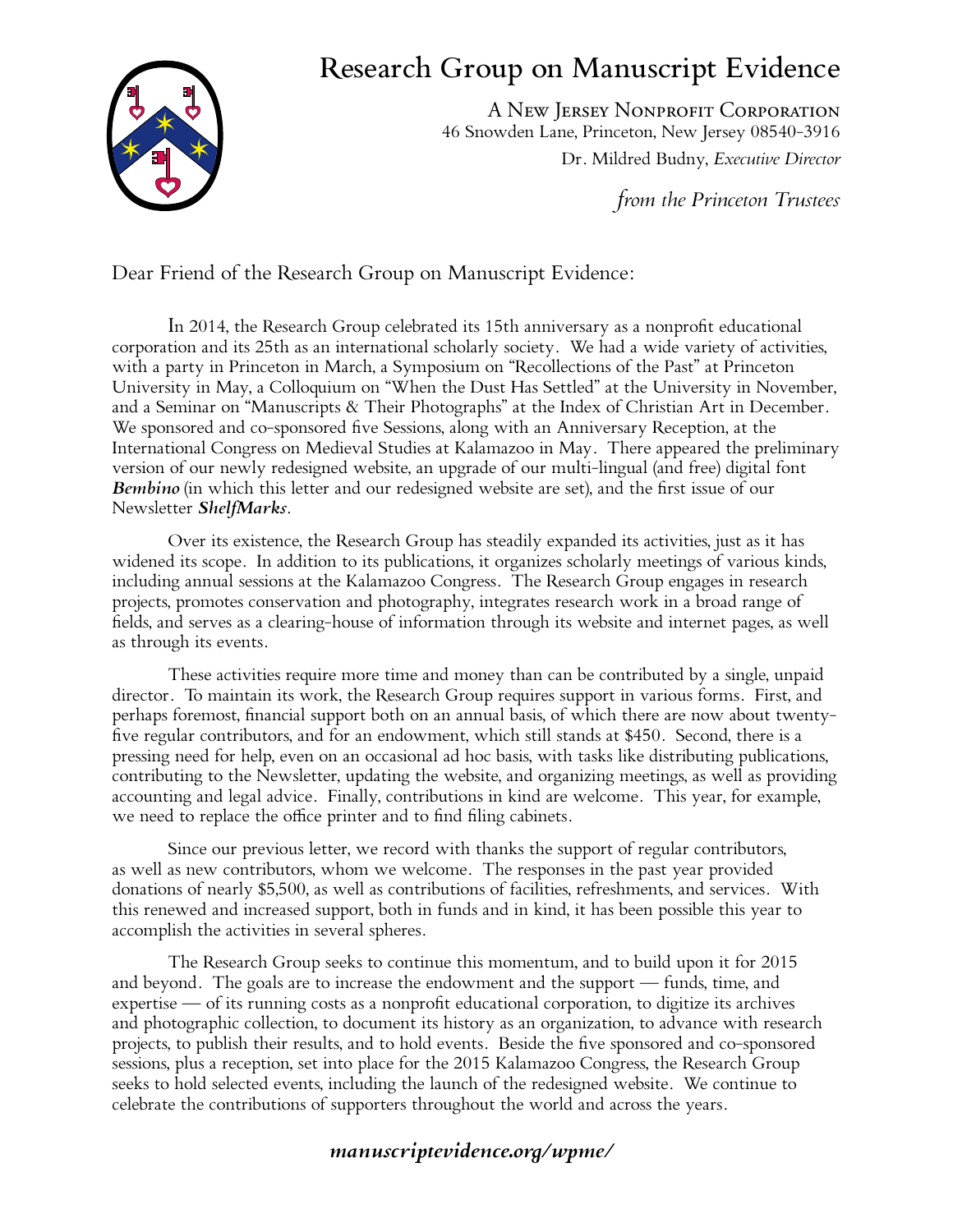## Research Group on Manuscript Evidence

A New Jersey Nonprofit Corporation 46 Snowden Lane, Princeton, New Jersey 08540-3916 Dr. Mildred Budny, *Executive Director*

*from the Princeton Trustees*

Dear Friend of the Research Group on Manuscript Evidence:

In 2014, the Research Group celebrated its 15th anniversary as a nonprofit educational corporation and its 25th as an international scholarly society. We had a wide variety of activities, with a party in Princeton in March, a Symposium on "Recollections of the Past" at Princeton University in May, a Colloquium on "When the Dust Has Settled" at the University in November, and a Seminar on "Manuscripts & Their Photographs" at the Index of Christian Art in December. We sponsored and co-sponsored five Sessions, along with an Anniversary Reception, at the International Congress on Medieval Studies at Kalamazoo in May. There appeared the preliminary version of our newly redesigned website, an upgrade of our multi-lingual (and free) digital font *Bembino* (in which this letter and our redesigned website are set), and the first issue of our Newsletter *ShelfMarks*.

Over its existence, the Research Group has steadily expanded its activities, just as it has widened its scope. In addition to its publications, it organizes scholarly meetings of various kinds, including annual sessions at the Kalamazoo Congress. The Research Group engages in research projects, promotes conservation and photography, integrates research work in a broad range of fields, and serves as a clearing-house of information through its website and internet pages, as well as through its events.

These activities require more time and money than can be contributed by a single, unpaid director. To maintain its work, the Research Group requires support in various forms. First, and perhaps foremost, financial support both on an annual basis, of which there are now about twentyfive regular contributors, and for an endowment, which still stands at \$450. Second, there is a pressing need for help, even on an occasional ad hoc basis, with tasks like distributing publications, contributing to the Newsletter, updating the website, and organizing meetings, as well as providing accounting and legal advice. Finally, contributions in kind are welcome. This year, for example, we need to replace the office printer and to find filing cabinets.

Since our previous letter, we record with thanks the support of regular contributors, as well as new contributors, whom we welcome. The responses in the past year provided donations of nearly \$5,500, as well as contributions of facilities, refreshments, and services. With this renewed and increased support, both in funds and in kind, it has been possible this year to accomplish the activities in several spheres.

The Research Group seeks to continue this momentum, and to build upon it for 2015 and beyond. The goals are to increase the endowment and the support — funds, time, and expertise — of its running costs as a nonprofit educational corporation, to digitize its archives and photographic collection, to document its history as an organization, to advance with research projects, to publish their results, and to hold events. Beside the five sponsored and co-sponsored sessions, plus a reception, set into place for the 2015 Kalamazoo Congress, the Research Group seeks to hold selected events, including the launch of the redesigned website. We continue to celebrate the contributions of supporters throughout the world and across the years.

## *manuscriptevidence.org/wpme/*